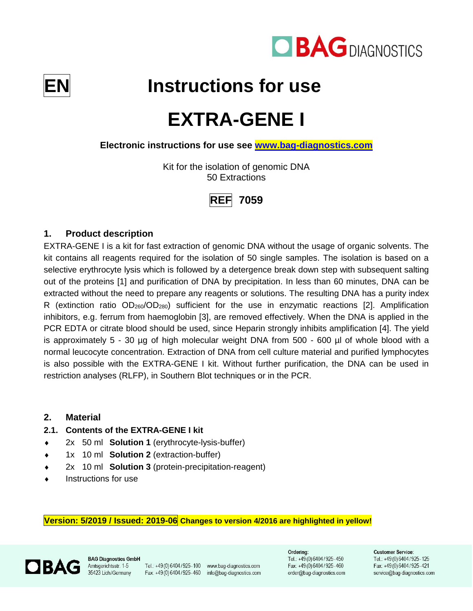



**Instructions for use** 

# **EXTRA-GENE I**

**Electronic instructions for use see [www.bag-diagnostics.com](http://www.bag-diagnostics.com/)**

Kit for the isolation of genomic DNA 50 Extractions



### **1. Product description**

EXTRA-GENE I is a kit for fast extraction of genomic DNA without the usage of organic solvents. The kit contains all reagents required for the isolation of 50 single samples. The isolation is based on a selective erythrocyte lysis which is followed by a detergence break down step with subsequent salting out of the proteins [1] and purification of DNA by precipitation. In less than 60 minutes, DNA can be extracted without the need to prepare any reagents or solutions. The resulting DNA has a purity index R (extinction ratio  $OD_{260}/OD_{280}$ ) sufficient for the use in enzymatic reactions [2]. Amplification inhibitors, e.g. ferrum from haemoglobin [3], are removed effectively. When the DNA is applied in the PCR EDTA or citrate blood should be used, since Heparin strongly inhibits amplification [4]. The yield is approximately 5 - 30 µg of high molecular weight DNA from 500 - 600 µl of whole blood with a normal leucocyte concentration. Extraction of DNA from cell culture material and purified lymphocytes is also possible with the EXTRA-GENE I kit. Without further purification, the DNA can be used in restriction analyses (RLFP), in Southern Blot techniques or in the PCR.

#### **2. Material**

- **2.1. Contents of the EXTRA-GENE I kit**
- 2x 50 ml **Solution 1** (erythrocyte-lysis-buffer)
- 1x 10 ml **Solution 2** (extraction-buffer)
- 2x 10 ml **Solution 3** (protein-precipitation-reagent)
- Instructions for use

**Version: 5/2019 / Issued: 2019-06 Changes to version 4/2016 are highlighted in yellow!**



**BAG Diagnostics GmbH** Amtsgerichtsstr. 1-5 35423 Lich/Germany

Tel.: +49(0)6404/925-100 www.bag-diagnostics.com Fax: +49(0)6404/925-460 info@bag-diagnostics.com Ordering: Tel.: +49(0)6404/925-450 Fax: +49(0)6404/925-460 order@bag-diagnostics.com **Customer Service:** 

Tel: +49 (0) 6404 / 925 - 125 Fax: +49 (0) 6404 / 925 - 421 service@bag-diagnostics.com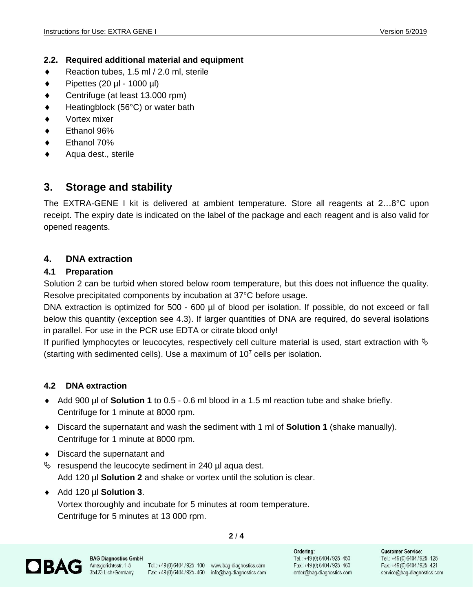#### **2.2. Required additional material and equipment**

- ◆ Reaction tubes, 1.5 ml / 2.0 ml, sterile
- Pipettes (20 µl 1000 µl)
- Centrifuge (at least 13.000 rpm)
- Heatingblock (56°C) or water bath
- Vortex mixer
- Ethanol 96%
- Ethanol 70%
- Aqua dest., sterile

# **3. Storage and stability**

The EXTRA-GENE I kit is delivered at ambient temperature. Store all reagents at 2…8°C upon receipt. The expiry date is indicated on the label of the package and each reagent and is also valid for opened reagents.

## **4. DNA extraction**

#### **4.1 Preparation**

Solution 2 can be turbid when stored below room temperature, but this does not influence the quality. Resolve precipitated components by incubation at 37°C before usage.

DNA extraction is optimized for 500 - 600 µl of blood per isolation. If possible, do not exceed or fall below this quantity (exception see 4.3). If larger quantities of DNA are required, do several isolations in parallel. For use in the PCR use EDTA or citrate blood only!

If purified lymphocytes or leucocytes, respectively cell culture material is used, start extraction with  $\&$ (starting with sedimented cells). Use a maximum of  $10<sup>7</sup>$  cells per isolation.

#### **4.2 DNA extraction**

- Add 900 µl of **Solution 1** to 0.5 0.6 ml blood in a 1.5 ml reaction tube and shake briefly. Centrifuge for 1 minute at 8000 rpm.
- Discard the supernatant and wash the sediment with 1 ml of **Solution 1** (shake manually). Centrifuge for 1 minute at 8000 rpm.
- ◆ Discard the supernatant and
- $\%$  resuspend the leucocyte sediment in 240 µl aqua dest. Add 120 µl **Solution 2** and shake or vortex until the solution is clear.
- ◆ Add 120 **ul Solution 3**.

Vortex thoroughly and incubate for 5 minutes at room temperature. Centrifuge for 5 minutes at 13 000 rpm.



Tel.: +49(0)6404/925-100 www.bag-diagnostics.com Fax: +49(0)6404/925-460 info@bag-diagnostics.com

**2** / **4**

Ordering: Tel.: +49(0)6404/925-450 Fax: +49(0)6404/925-460 order@bag-diagnostics.com

**Customer Service:** Tel.: +49(0)6404/925-125 Fax: +49 (0) 6404 / 925 - 421 service@bag-diagnostics.com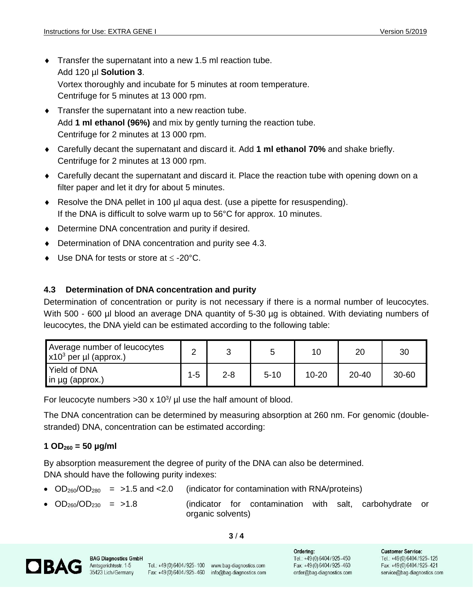- Transfer the supernatant into a new 1.5 ml reaction tube. Add 120 µl **Solution 3**. Vortex thoroughly and incubate for 5 minutes at room temperature. Centrifuge for 5 minutes at 13 000 rpm.
- Transfer the supernatant into a new reaction tube. Add **1 ml ethanol (96%)** and mix by gently turning the reaction tube. Centrifuge for 2 minutes at 13 000 rpm.
- Carefully decant the supernatant and discard it. Add **1 ml ethanol 70%** and shake briefly. Centrifuge for 2 minutes at 13 000 rpm.
- Carefully decant the supernatant and discard it. Place the reaction tube with opening down on a filter paper and let it dry for about 5 minutes.
- $\bullet$  Resolve the DNA pellet in 100 µl aqua dest. (use a pipette for resuspending). If the DNA is difficult to solve warm up to 56°C for approx. 10 minutes.
- Determine DNA concentration and purity if desired.
- ◆ Determination of DNA concentration and purity see 4.3.
- $\bullet$  Use DNA for tests or store at  $\leq$  -20°C.

#### **4.3 Determination of DNA concentration and purity**

Determination of concentration or purity is not necessary if there is a normal number of leucocytes. With 500 - 600 µl blood an average DNA quantity of 5-30 µg is obtained. With deviating numbers of leucocytes, the DNA yield can be estimated according to the following table:

| Average number of leucocytes<br>$\mathbf{x}$ 10 <sup>3</sup> per µl (approx.) | <u>.</u> |         |          | 10        | 20        | 30        |
|-------------------------------------------------------------------------------|----------|---------|----------|-----------|-----------|-----------|
| <b>Yield of DNA</b><br>$\vert$ in µg (approx.)                                | $1 - 5$  | $2 - 8$ | $5 - 10$ | $10 - 20$ | $20 - 40$ | $30 - 60$ |

For leucocyte numbers  $>30 \times 10^3$  µl use the half amount of blood.

The DNA concentration can be determined by measuring absorption at 260 nm. For genomic (doublestranded) DNA, concentration can be estimated according:

#### **1 OD<sup>260</sup> = 50 µg/ml**

By absorption measurement the degree of purity of the DNA can also be determined. DNA should have the following purity indexes:

- $OD<sub>260</sub>/OD<sub>280</sub> = >1.5$  and <2.0 (indicator for contamination with RNA/proteins)
- $OD_{260}/OD_{230}$  = >1.8 (indicator for contamination with salt, carbohydrate or organic solvents)

#### **3** / **4**



**BAG Diagnostics GmbH** 35423 Lich/Germany

Tel.: +49(0)6404/925-100 www.bag-diagnostics.com Fax: +49(0)6404/925-460 info@bag-diagnostics.com

Ordering: Tel.: +49(0)6404/925-450 Fax: +49(0)6404/925-460 order@bag-diagnostics.com

**Customer Service:** Tel.: +49(0)6404/925-125 Fax: +49 (0) 6404 / 925 - 421 service@bag-diagnostics.com